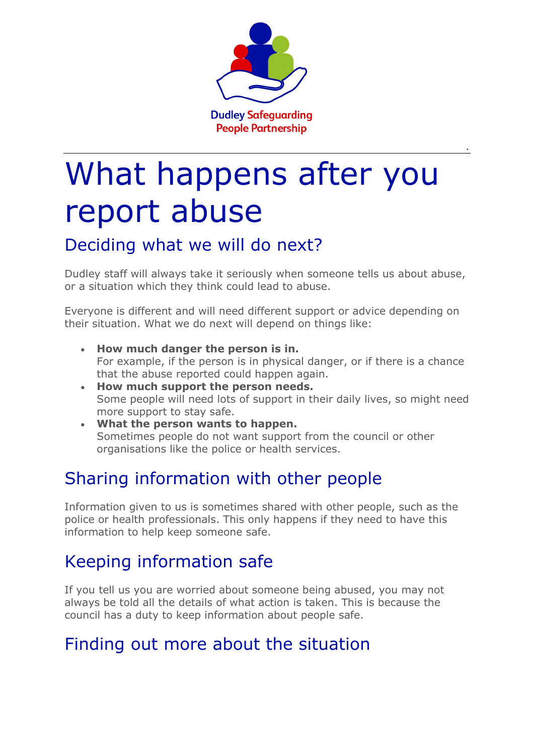

.

# What happens after you report abuse

#### Deciding what we will do next?

Dudley staff will always take it seriously when someone tells us about abuse, or a situation which they think could lead to abuse.

Everyone is different and will need different support or advice depending on their situation. What we do next will depend on things like:

- **How much danger the person is in.** For example, if the person is in physical danger, or if there is a chance that the abuse reported could happen again.
- **How much support the person needs.** Some people will need lots of support in their daily lives, so might need more support to stay safe.
- **What the person wants to happen.** Sometimes people do not want support from the council or other organisations like the police or health services.

## Sharing information with other people

Information given to us is sometimes shared with other people, such as the police or health professionals. This only happens if they need to have this information to help keep someone safe.

# Keeping information safe

If you tell us you are worried about someone being abused, you may not always be told all the details of what action is taken. This is because the council has a duty to keep information about people safe.

## Finding out more about the situation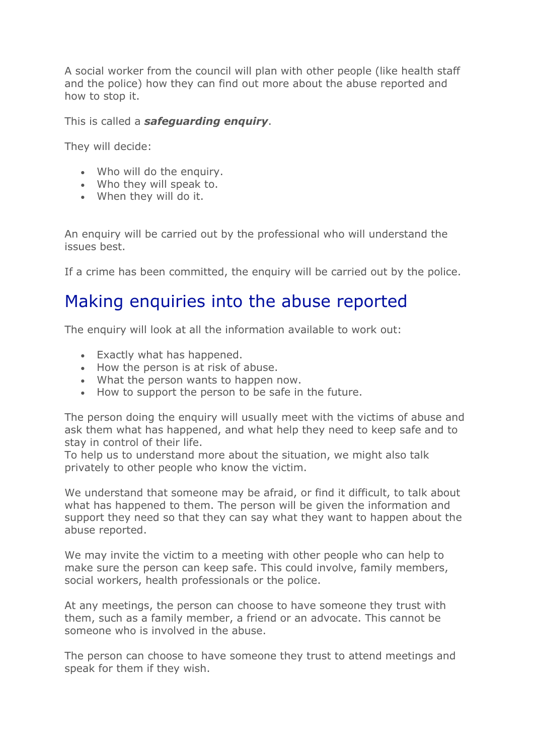A social worker from the council will plan with other people (like health staff and the police) how they can find out more about the abuse reported and how to stop it.

This is called a *safeguarding enquiry*.

They will decide:

- Who will do the enquiry.
- Who they will speak to.
- When they will do it.

An enquiry will be carried out by the professional who will understand the issues best.

If a crime has been committed, the enquiry will be carried out by the police.

#### Making enquiries into the abuse reported

The enquiry will look at all the information available to work out:

- Exactly what has happened.
- How the person is at risk of abuse.
- What the person wants to happen now.
- How to support the person to be safe in the future.

The person doing the enquiry will usually meet with the victims of abuse and ask them what has happened, and what help they need to keep safe and to stay in control of their life.

To help us to understand more about the situation, we might also talk privately to other people who know the victim.

We understand that someone may be afraid, or find it difficult, to talk about what has happened to them. The person will be given the information and support they need so that they can say what they want to happen about the abuse reported.

We may invite the victim to a meeting with other people who can help to make sure the person can keep safe. This could involve, family members, social workers, health professionals or the police.

At any meetings, the person can choose to have someone they trust with them, such as a family member, a friend or an advocate. This cannot be someone who is involved in the abuse.

The person can choose to have someone they trust to attend meetings and speak for them if they wish.